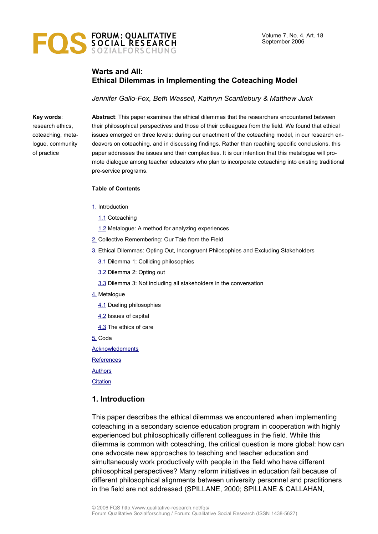

# **Warts and All: Ethical Dilemmas in Implementing the Coteaching Model**

*Jennifer Gallo-Fox, Beth Wassell, Kathryn Scantlebury & Matthew Juck*

#### **Key words**:

research ethics, coteaching, metalogue, community of practice

**Abstract**: This paper examines the ethical dilemmas that the researchers encountered between their philosophical perspectives and those of their colleagues from the field. We found that ethical issues emerged on three levels: during our enactment of the coteaching model, in our research endeavors on coteaching, and in discussing findings. Rather than reaching specific conclusions, this paper addresses the issues and their complexities. It is our intention that this metalogue will promote dialogue among teacher educators who plan to incorporate coteaching into existing traditional pre-service programs.

#### **Table of Contents**

- [1.](#page-0-0) Introduction
	- [1.1](#page-1-1) Coteaching
	- [1.2](#page-1-0) Metalogue: A method for analyzing experiences
- [2.](#page-2-0) Collective Remembering: Our Tale from the Field
- [3.](#page-3-0) Ethical Dilemmas: Opting Out, Incongruent Philosophies and Excluding Stakeholders
	- [3.1](#page-4-0) Dilemma 1: Colliding philosophies
	- [3.2](#page-5-1) Dilemma 2: Opting out
	- [3.3](#page-5-0) Dilemma 3: Not including all stakeholders in the conversation
- [4.](#page-6-1) Metalogue
	- [4.1](#page-6-0) Dueling philosophies
	- [4.2](#page-7-0) Issues of capital
	- [4.3](#page-8-0) The ethics of care
- [5.](#page-10-0) Coda
- [Acknowledgments](#page-12-1)
- **[References](#page-12-0)**
- [Authors](#page-13-0)
- **[Citation](#page-14-0)**

#### <span id="page-0-0"></span>**1. Introduction**

This paper describes the ethical dilemmas we encountered when implementing coteaching in a secondary science education program in cooperation with highly experienced but philosophically different colleagues in the field. While this dilemma is common with coteaching, the critical question is more global: how can one advocate new approaches to teaching and teacher education and simultaneously work productively with people in the field who have different philosophical perspectives? Many reform initiatives in education fail because of different philosophical alignments between university personnel and practitioners in the field are not addressed (SPILLANE, 2000; SPILLANE & CALLAHAN,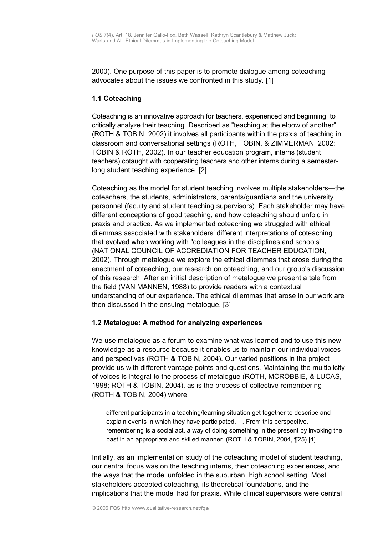2000). One purpose of this paper is to promote dialogue among coteaching advocates about the issues we confronted in this study. [1]

### <span id="page-1-1"></span>**1.1 Coteaching**

Coteaching is an innovative approach for teachers, experienced and beginning, to critically analyze their teaching. Described as "teaching at the elbow of another" (ROTH & TOBIN, 2002) it involves all participants within the praxis of teaching in classroom and conversational settings (ROTH, TOBIN, & ZIMMERMAN, 2002; TOBIN & ROTH, 2002). In our teacher education program, interns (student teachers) cotaught with cooperating teachers and other interns during a semesterlong student teaching experience. [2]

Coteaching as the model for student teaching involves multiple stakeholders—the coteachers, the students, administrators, parents/guardians and the university personnel (faculty and student teaching supervisors). Each stakeholder may have different conceptions of good teaching, and how coteaching should unfold in praxis and practice. As we implemented coteaching we struggled with ethical dilemmas associated with stakeholders' different interpretations of coteaching that evolved when working with "colleagues in the disciplines and schools" (NATIONAL COUNCIL OF ACCREDIATION FOR TEACHER EDUCATION, 2002). Through metalogue we explore the ethical dilemmas that arose during the enactment of coteaching, our research on coteaching, and our group's discussion of this research. After an initial description of metalogue we present a tale from the field (VAN MANNEN, 1988) to provide readers with a contextual understanding of our experience. The ethical dilemmas that arose in our work are then discussed in the ensuing metalogue. [3]

# <span id="page-1-0"></span>**1.2 Metalogue: A method for analyzing experiences**

We use metalogue as a forum to examine what was learned and to use this new knowledge as a resource because it enables us to maintain our individual voices and perspectives (ROTH & TOBIN, 2004). Our varied positions in the project provide us with different vantage points and questions. Maintaining the multiplicity of voices is integral to the process of metalogue (ROTH, MCROBBIE, & LUCAS, 1998; ROTH & TOBIN, 2004), as is the process of collective remembering (ROTH & TOBIN, 2004) where

different participants in a teaching/learning situation get together to describe and explain events in which they have participated. … From this perspective, remembering is a social act, a way of doing something in the present by invoking the past in an appropriate and skilled manner. (ROTH & TOBIN, 2004, ¶25) [4]

Initially, as an implementation study of the coteaching model of student teaching, our central focus was on the teaching interns, their coteaching experiences, and the ways that the model unfolded in the suburban, high school setting. Most stakeholders accepted coteaching, its theoretical foundations, and the implications that the model had for praxis. While clinical supervisors were central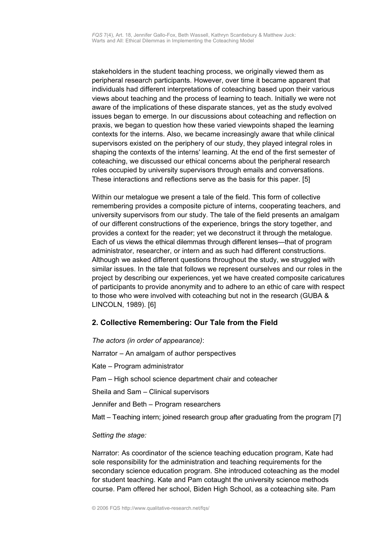stakeholders in the student teaching process, we originally viewed them as peripheral research participants. However, over time it became apparent that individuals had different interpretations of coteaching based upon their various views about teaching and the process of learning to teach. Initially we were not aware of the implications of these disparate stances, yet as the study evolved issues began to emerge. In our discussions about coteaching and reflection on praxis, we began to question how these varied viewpoints shaped the learning contexts for the interns. Also, we became increasingly aware that while clinical supervisors existed on the periphery of our study, they played integral roles in shaping the contexts of the interns' learning. At the end of the first semester of coteaching, we discussed our ethical concerns about the peripheral research roles occupied by university supervisors through emails and conversations. These interactions and reflections serve as the basis for this paper. [5]

Within our metalogue we present a tale of the field. This form of collective remembering provides a composite picture of interns, cooperating teachers, and university supervisors from our study. The tale of the field presents an amalgam of our different constructions of the experience, brings the story together, and provides a context for the reader; yet we deconstruct it through the metalogue. Each of us views the ethical dilemmas through different lenses—that of program administrator, researcher, or intern and as such had different constructions. Although we asked different questions throughout the study, we struggled with similar issues. In the tale that follows we represent ourselves and our roles in the project by describing our experiences, yet we have created composite caricatures of participants to provide anonymity and to adhere to an ethic of care with respect to those who were involved with coteaching but not in the research (GUBA & LINCOLN, 1989). [6]

# <span id="page-2-0"></span>**2. Collective Remembering: Our Tale from the Field**

*The actors (in order of appearance)*: Narrator – An amalgam of author perspectives Kate – Program administrator Pam – High school science department chair and coteacher Sheila and Sam – Clinical supervisors Jennifer and Beth – Program researchers Matt – Teaching intern; joined research group after graduating from the program [7]

#### *Setting the stage:*

Narrator: As coordinator of the science teaching education program, Kate had sole responsibility for the administration and teaching requirements for the secondary science education program. She introduced coteaching as the model for student teaching. Kate and Pam cotaught the university science methods course. Pam offered her school, Biden High School, as a coteaching site. Pam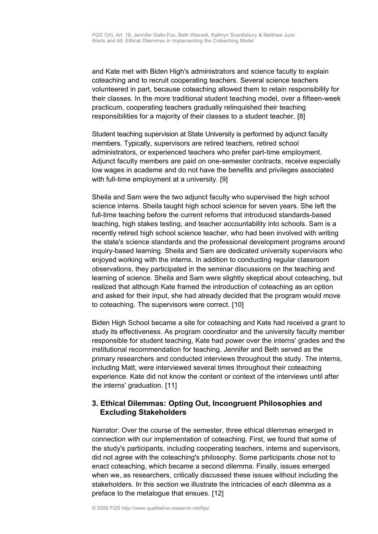and Kate met with Biden High's administrators and science faculty to explain coteaching and to recruit cooperating teachers. Several science teachers volunteered in part, because coteaching allowed them to retain responsibility for their classes. In the more traditional student teaching model, over a fifteen-week practicum, cooperating teachers gradually relinquished their teaching responsibilities for a majority of their classes to a student teacher. [8]

Student teaching supervision at State University is performed by adjunct faculty members. Typically, supervisors are retired teachers, retired school administrators, or experienced teachers who prefer part-time employment. Adjunct faculty members are paid on one-semester contracts, receive especially low wages in academe and do not have the benefits and privileges associated with full-time employment at a university. [9]

Sheila and Sam were the two adjunct faculty who supervised the high school science interns. Sheila taught high school science for seven years. She left the full-time teaching before the current reforms that introduced standards-based teaching, high stakes testing, and teacher accountability into schools. Sam is a recently retired high school science teacher, who had been involved with writing the state's science standards and the professional development programs around inquiry-based learning. Sheila and Sam are dedicated university supervisors who enjoyed working with the interns. In addition to conducting regular classroom observations, they participated in the seminar discussions on the teaching and learning of science. Sheila and Sam were slightly skeptical about coteaching, but realized that although Kate framed the introduction of coteaching as an option and asked for their input, she had already decided that the program would move to coteaching. The supervisors were correct. [10]

Biden High School became a site for coteaching and Kate had received a grant to study its effectiveness. As program coordinator and the university faculty member responsible for student teaching, Kate had power over the interns' grades and the institutional recommendation for teaching. Jennifer and Beth served as the primary researchers and conducted interviews throughout the study. The interns, including Matt, were interviewed several times throughout their coteaching experience. Kate did not know the content or context of the interviews until after the interns' graduation. [11]

# <span id="page-3-0"></span>**3. Ethical Dilemmas: Opting Out, Incongruent Philosophies and Excluding Stakeholders**

Narrator: Over the course of the semester, three ethical dilemmas emerged in connection with our implementation of coteaching. First, we found that some of the study's participants, including cooperating teachers, interns and supervisors, did not agree with the coteaching's philosophy. Some participants chose not to enact coteaching, which became a second dilemma. Finally, issues emerged when we, as researchers, critically discussed these issues without including the stakeholders. In this section we illustrate the intricacies of each dilemma as a preface to the metalogue that ensues. [12]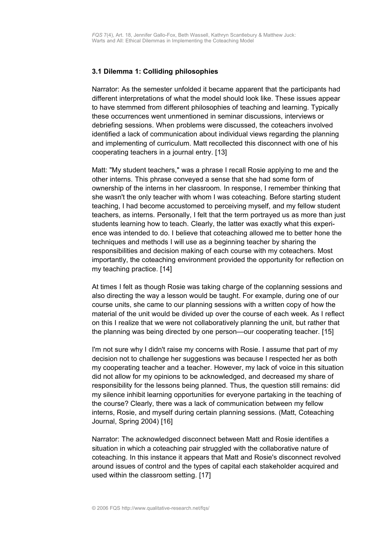### <span id="page-4-0"></span>**3.1 Dilemma 1: Colliding philosophies**

Narrator: As the semester unfolded it became apparent that the participants had different interpretations of what the model should look like. These issues appear to have stemmed from different philosophies of teaching and learning. Typically these occurrences went unmentioned in seminar discussions, interviews or debriefing sessions. When problems were discussed, the coteachers involved identified a lack of communication about individual views regarding the planning and implementing of curriculum. Matt recollected this disconnect with one of his cooperating teachers in a journal entry. [13]

Matt: "My student teachers," was a phrase I recall Rosie applying to me and the other interns. This phrase conveyed a sense that she had some form of ownership of the interns in her classroom. In response, I remember thinking that she wasn't the only teacher with whom I was coteaching. Before starting student teaching, I had become accustomed to perceiving myself, and my fellow student teachers, as interns. Personally, I felt that the term portrayed us as more than just students learning how to teach. Clearly, the latter was exactly what this experience was intended to do. I believe that coteaching allowed me to better hone the techniques and methods I will use as a beginning teacher by sharing the responsibilities and decision making of each course with my coteachers. Most importantly, the coteaching environment provided the opportunity for reflection on my teaching practice. [14]

At times I felt as though Rosie was taking charge of the coplanning sessions and also directing the way a lesson would be taught. For example, during one of our course units, she came to our planning sessions with a written copy of how the material of the unit would be divided up over the course of each week. As I reflect on this I realize that we were not collaboratively planning the unit, but rather that the planning was being directed by one person—our cooperating teacher. [15]

I'm not sure why I didn't raise my concerns with Rosie. I assume that part of my decision not to challenge her suggestions was because I respected her as both my cooperating teacher and a teacher. However, my lack of voice in this situation did not allow for my opinions to be acknowledged, and decreased my share of responsibility for the lessons being planned. Thus, the question still remains: did my silence inhibit learning opportunities for everyone partaking in the teaching of the course? Clearly, there was a lack of communication between my fellow interns, Rosie, and myself during certain planning sessions. (Matt, Coteaching Journal, Spring 2004) [16]

Narrator: The acknowledged disconnect between Matt and Rosie identifies a situation in which a coteaching pair struggled with the collaborative nature of coteaching. In this instance it appears that Matt and Rosie's disconnect revolved around issues of control and the types of capital each stakeholder acquired and used within the classroom setting. [17]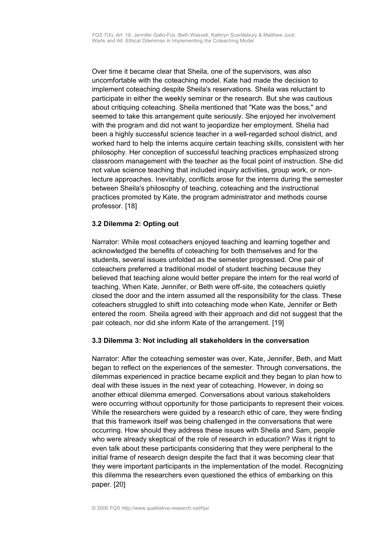Over time it became clear that Sheila, one of the supervisors, was also uncomfortable with the coteaching model. Kate had made the decision to implement coteaching despite Sheila's reservations. Sheila was reluctant to participate in either the weekly seminar or the research. But she was cautious about critiquing coteaching. Sheila mentioned that "Kate was the boss," and seemed to take this arrangement quite seriously. She enjoyed her involvement with the program and did not want to jeopardize her employment. Shelia had been a highly successful science teacher in a well-regarded school district, and worked hard to help the interns acquire certain teaching skills, consistent with her philosophy. Her conception of successful teaching practices emphasized strong classroom management with the teacher as the focal point of instruction. She did not value science teaching that included inquiry activities, group work, or nonlecture approaches. Inevitably, conflicts arose for the interns during the semester between Sheila's philosophy of teaching, coteaching and the instructional practices promoted by Kate, the program administrator and methods course professor. [18]

# <span id="page-5-1"></span>**3.2 Dilemma 2: Opting out**

Narrator: While most coteachers enjoyed teaching and learning together and acknowledged the benefits of coteaching for both themselves and for the students, several issues unfolded as the semester progressed. One pair of coteachers preferred a traditional model of student teaching because they believed that teaching alone would better prepare the intern for the real world of teaching. When Kate, Jennifer, or Beth were off-site, the coteachers quietly closed the door and the intern assumed all the responsibility for the class. These coteachers struggled to shift into coteaching mode when Kate, Jennifer or Beth entered the room. Sheila agreed with their approach and did not suggest that the pair coteach, nor did she inform Kate of the arrangement. [19]

# <span id="page-5-0"></span>**3.3 Dilemma 3: Not including all stakeholders in the conversation**

Narrator: After the coteaching semester was over, Kate, Jennifer, Beth, and Matt began to reflect on the experiences of the semester. Through conversations, the dilemmas experienced in practice became explicit and they began to plan how to deal with these issues in the next year of coteaching. However, in doing so another ethical dilemma emerged. Conversations about various stakeholders were occurring without opportunity for those participants to represent their voices. While the researchers were guided by a research ethic of care, they were finding that this framework itself was being challenged in the conversations that were occurring. How should they address these issues with Sheila and Sam, people who were already skeptical of the role of research in education? Was it right to even talk about these participants considering that they were peripheral to the initial frame of research design despite the fact that it was becoming clear that they were important participants in the implementation of the model. Recognizing this dilemma the researchers even questioned the ethics of embarking on this paper. [20]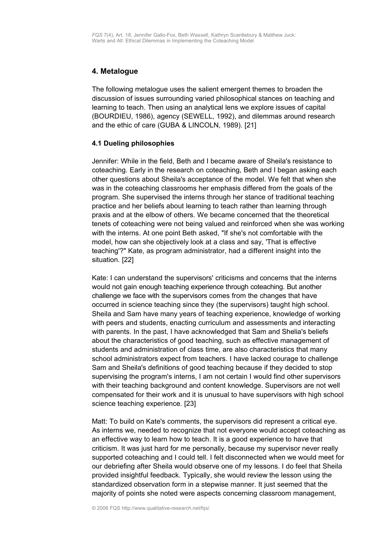# <span id="page-6-1"></span>**4. Metalogue**

The following metalogue uses the salient emergent themes to broaden the discussion of issues surrounding varied philosophical stances on teaching and learning to teach. Then using an analytical lens we explore issues of capital (BOURDIEU, 1986), agency (SEWELL, 1992), and dilemmas around research and the ethic of care (GUBA & LINCOLN, 1989). [21]

### <span id="page-6-0"></span>**4.1 Dueling philosophies**

Jennifer: While in the field, Beth and I became aware of Sheila's resistance to coteaching. Early in the research on coteaching, Beth and I began asking each other questions about Sheila's acceptance of the model. We felt that when she was in the coteaching classrooms her emphasis differed from the goals of the program. She supervised the interns through her stance of traditional teaching practice and her beliefs about learning to teach rather than learning through praxis and at the elbow of others. We became concerned that the theoretical tenets of coteaching were not being valued and reinforced when she was working with the interns. At one point Beth asked, "If she's not comfortable with the model, how can she objectively look at a class and say, 'That is effective teaching'?" Kate, as program administrator, had a different insight into the situation. [22]

Kate: I can understand the supervisors' criticisms and concerns that the interns would not gain enough teaching experience through coteaching. But another challenge we face with the supervisors comes from the changes that have occurred in science teaching since they (the supervisors) taught high school. Sheila and Sam have many years of teaching experience, knowledge of working with peers and students, enacting curriculum and assessments and interacting with parents. In the past, I have acknowledged that Sam and Shelia's beliefs about the characteristics of good teaching, such as effective management of students and administration of class time, are also characteristics that many school administrators expect from teachers. I have lacked courage to challenge Sam and Sheila's definitions of good teaching because if they decided to stop supervising the program's interns, I am not certain I would find other supervisors with their teaching background and content knowledge. Supervisors are not well compensated for their work and it is unusual to have supervisors with high school science teaching experience. [23]

Matt: To build on Kate's comments, the supervisors did represent a critical eye. As interns we, needed to recognize that not everyone would accept coteaching as an effective way to learn how to teach. It is a good experience to have that criticism. It was just hard for me personally, because my supervisor never really supported coteaching and I could tell. I felt disconnected when we would meet for our debriefing after Sheila would observe one of my lessons. I do feel that Sheila provided insightful feedback. Typically, she would review the lesson using the standardized observation form in a stepwise manner. It just seemed that the majority of points she noted were aspects concerning classroom management,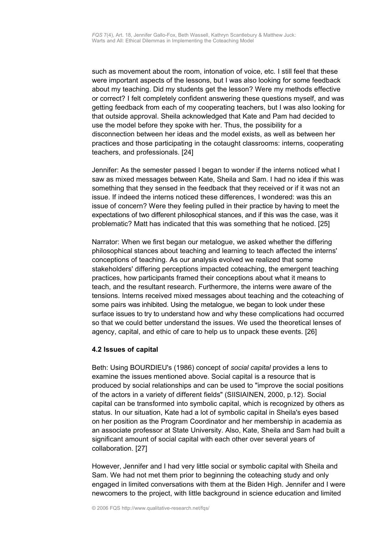such as movement about the room, intonation of voice, etc. I still feel that these were important aspects of the lessons, but I was also looking for some feedback about my teaching. Did my students get the lesson? Were my methods effective or correct? I felt completely confident answering these questions myself, and was getting feedback from each of my cooperating teachers, but I was also looking for that outside approval. Sheila acknowledged that Kate and Pam had decided to use the model before they spoke with her. Thus, the possibility for a disconnection between her ideas and the model exists, as well as between her practices and those participating in the cotaught classrooms: interns, cooperating teachers, and professionals. [24]

Jennifer: As the semester passed I began to wonder if the interns noticed what I saw as mixed messages between Kate, Sheila and Sam. I had no idea if this was something that they sensed in the feedback that they received or if it was not an issue. If indeed the interns noticed these differences, I wondered: was this an issue of concern? Were they feeling pulled in their practice by having to meet the expectations of two different philosophical stances, and if this was the case, was it problematic? Matt has indicated that this was something that he noticed. [25]

Narrator: When we first began our metalogue, we asked whether the differing philosophical stances about teaching and learning to teach affected the interns' conceptions of teaching. As our analysis evolved we realized that some stakeholders' differing perceptions impacted coteaching, the emergent teaching practices, how participants framed their conceptions about what it means to teach, and the resultant research. Furthermore, the interns were aware of the tensions. Interns received mixed messages about teaching and the coteaching of some pairs was inhibited. Using the metalogue, we began to look under these surface issues to try to understand how and why these complications had occurred so that we could better understand the issues. We used the theoretical lenses of agency, capital, and ethic of care to help us to unpack these events. [26]

#### <span id="page-7-0"></span>**4.2 Issues of capital**

Beth: Using BOURDIEU's (1986) concept of *social capital* provides a lens to examine the issues mentioned above. Social capital is a resource that is produced by social relationships and can be used to "improve the social positions of the actors in a variety of different fields" (SIISIAINEN, 2000, p.12). Social capital can be transformed into symbolic capital, which is recognized by others as status. In our situation, Kate had a lot of symbolic capital in Sheila's eyes based on her position as the Program Coordinator and her membership in academia as an associate professor at State University. Also, Kate, Sheila and Sam had built a significant amount of social capital with each other over several years of collaboration. [27]

However, Jennifer and I had very little social or symbolic capital with Sheila and Sam. We had not met them prior to beginning the coteaching study and only engaged in limited conversations with them at the Biden High. Jennifer and I were newcomers to the project, with little background in science education and limited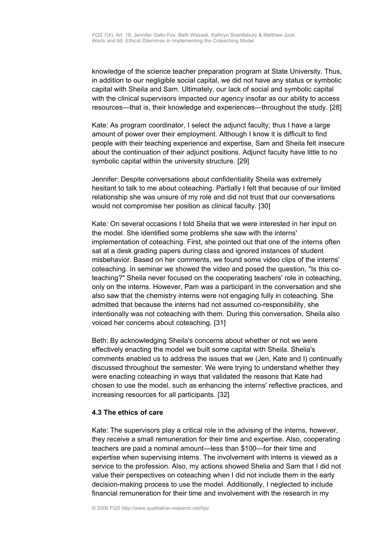knowledge of the science teacher preparation program at State University. Thus, in addition to our negligible social capital, we did not have any status or symbolic capital with Sheila and Sam. Ultimately, our lack of social and symbolic capital with the clinical supervisors impacted our agency insofar as our ability to access resources—that is, their knowledge and experiences—throughout the study. [28]

Kate: As program coordinator, I select the adjunct faculty; thus I have a large amount of power over their employment. Although I know it is difficult to find people with their teaching experience and expertise, Sam and Sheila felt insecure about the continuation of their adjunct positions. Adjunct faculty have little to no symbolic capital within the university structure. [29]

Jennifer: Despite conversations about confidentiality Sheila was extremely hesitant to talk to me about coteaching. Partially I felt that because of our limited relationship she was unsure of my role and did not trust that our conversations would not compromise her position as clinical faculty. [30]

Kate: On several occasions I told Sheila that we were interested in her input on the model. She identified some problems she saw with the interns' implementation of coteaching. First, she pointed out that one of the interns often sat at a desk grading papers during class and ignored instances of student misbehavior. Based on her comments, we found some video clips of the interns' coteaching. In seminar we showed the video and posed the question, "Is this coteaching?" Sheila never focused on the cooperating teachers' role in coteaching, only on the interns. However, Pam was a participant in the conversation and she also saw that the chemistry interns were not engaging fully in coteaching. She admitted that because the interns had not assumed co-responsibility, she intentionally was not coteaching with them. During this conversation, Sheila also voiced her concerns about coteaching. [31]

Beth: By acknowledging Sheila's concerns about whether or not we were effectively enacting the model we built some capital with Sheila. Shelia's comments enabled us to address the issues that we (Jen, Kate and I) continually discussed throughout the semester. We were trying to understand whether they were enacting coteaching in ways that validated the reasons that Kate had chosen to use the model, such as enhancing the interns' reflective practices, and increasing resources for all participants. [32]

#### <span id="page-8-0"></span>**4.3 The ethics of care**

Kate: The supervisors play a critical role in the advising of the interns, however, they receive a small remuneration for their time and expertise. Also, cooperating teachers are paid a nominal amount—less than \$100—for their time and expertise when supervising interns. The involvement with interns is viewed as a service to the profession. Also, my actions showed Shelia and Sam that I did not value their perspectives on coteaching when I did not include them in the early decision-making process to use the model. Additionally, I neglected to include financial remuneration for their time and involvement with the research in my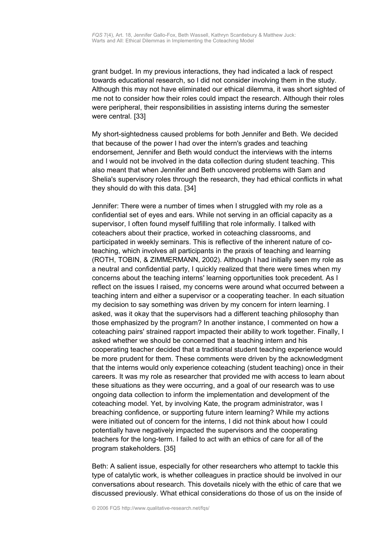grant budget. In my previous interactions, they had indicated a lack of respect towards educational research, so I did not consider involving them in the study. Although this may not have eliminated our ethical dilemma, it was short sighted of me not to consider how their roles could impact the research. Although their roles were peripheral, their responsibilities in assisting interns during the semester were central. [33]

My short-sightedness caused problems for both Jennifer and Beth. We decided that because of the power I had over the intern's grades and teaching endorsement, Jennifer and Beth would conduct the interviews with the interns and I would not be involved in the data collection during student teaching. This also meant that when Jennifer and Beth uncovered problems with Sam and Shelia's supervisory roles through the research, they had ethical conflicts in what they should do with this data. [34]

Jennifer: There were a number of times when I struggled with my role as a confidential set of eyes and ears. While not serving in an official capacity as a supervisor, I often found myself fulfilling that role informally. I talked with coteachers about their practice, worked in coteaching classrooms, and participated in weekly seminars. This is reflective of the inherent nature of coteaching, which involves all participants in the praxis of teaching and learning (ROTH, TOBIN, & ZIMMERMANN, 2002). Although I had initially seen my role as a neutral and confidential party, I quickly realized that there were times when my concerns about the teaching interns' learning opportunities took precedent. As I reflect on the issues I raised, my concerns were around what occurred between a teaching intern and either a supervisor or a cooperating teacher. In each situation my decision to say something was driven by my concern for intern learning. I asked, was it okay that the supervisors had a different teaching philosophy than those emphasized by the program? In another instance, I commented on how a coteaching pairs' strained rapport impacted their ability to work together. Finally, I asked whether we should be concerned that a teaching intern and his cooperating teacher decided that a traditional student teaching experience would be more prudent for them. These comments were driven by the acknowledgment that the interns would only experience coteaching (student teaching) once in their careers. It was my role as researcher that provided me with access to learn about these situations as they were occurring, and a goal of our research was to use ongoing data collection to inform the implementation and development of the coteaching model. Yet, by involving Kate, the program administrator, was I breaching confidence, or supporting future intern learning? While my actions were initiated out of concern for the interns, I did not think about how I could potentially have negatively impacted the supervisors and the cooperating teachers for the long-term. I failed to act with an ethics of care for all of the program stakeholders. [35]

Beth: A salient issue, especially for other researchers who attempt to tackle this type of catalytic work, is whether colleagues in practice should be involved in our conversations about research. This dovetails nicely with the ethic of care that we discussed previously. What ethical considerations do those of us on the inside of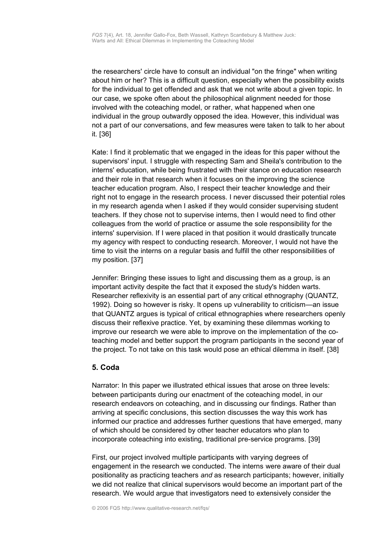the researchers' circle have to consult an individual "on the fringe" when writing about him or her? This is a difficult question, especially when the possibility exists for the individual to get offended and ask that we not write about a given topic. In our case, we spoke often about the philosophical alignment needed for those involved with the coteaching model, or rather, what happened when one individual in the group outwardly opposed the idea. However, this individual was not a part of our conversations, and few measures were taken to talk to her about it. [36]

Kate: I find it problematic that we engaged in the ideas for this paper without the supervisors' input. I struggle with respecting Sam and Sheila's contribution to the interns' education, while being frustrated with their stance on education research and their role in that research when it focuses on the improving the science teacher education program. Also, I respect their teacher knowledge and their right not to engage in the research process. I never discussed their potential roles in my research agenda when I asked if they would consider supervising student teachers. If they chose not to supervise interns, then I would need to find other colleagues from the world of practice or assume the sole responsibility for the interns' supervision. If I were placed in that position it would drastically truncate my agency with respect to conducting research. Moreover, I would not have the time to visit the interns on a regular basis and fulfill the other responsibilities of my position. [37]

Jennifer: Bringing these issues to light and discussing them as a group, is an important activity despite the fact that it exposed the study's hidden warts. Researcher reflexivity is an essential part of any critical ethnography (QUANTZ, 1992). Doing so however is risky. It opens up vulnerability to criticism—an issue that QUANTZ argues is typical of critical ethnographies where researchers openly discuss their reflexive practice. Yet, by examining these dilemmas working to improve our research we were able to improve on the implementation of the coteaching model and better support the program participants in the second year of the project. To not take on this task would pose an ethical dilemma in itself. [38]

# <span id="page-10-0"></span>**5. Coda**

Narrator: In this paper we illustrated ethical issues that arose on three levels: between participants during our enactment of the coteaching model, in our research endeavors on coteaching, and in discussing our findings. Rather than arriving at specific conclusions, this section discusses the way this work has informed our practice and addresses further questions that have emerged, many of which should be considered by other teacher educators who plan to incorporate coteaching into existing, traditional pre-service programs. [39]

First, our project involved multiple participants with varying degrees of engagement in the research we conducted. The interns were aware of their dual positionality as practicing teachers *and* as research participants; however, initially we did not realize that clinical supervisors would become an important part of the research. We would argue that investigators need to extensively consider the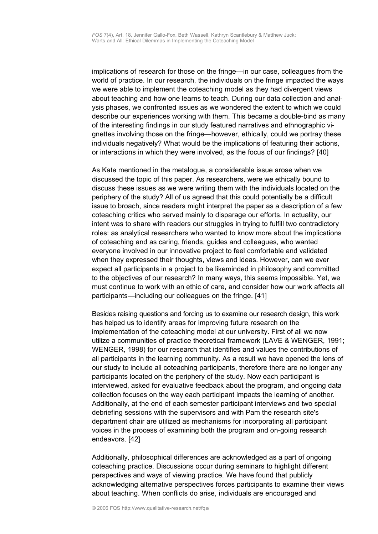implications of research for those on the fringe—in our case, colleagues from the world of practice. In our research, the individuals on the fringe impacted the ways we were able to implement the coteaching model as they had divergent views about teaching and how one learns to teach. During our data collection and analysis phases, we confronted issues as we wondered the extent to which we could describe our experiences working with them. This became a double-bind as many of the interesting findings in our study featured narratives and ethnographic vignettes involving those on the fringe—however, ethically, could we portray these individuals negatively? What would be the implications of featuring their actions, or interactions in which they were involved, as the focus of our findings? [40]

As Kate mentioned in the metalogue, a considerable issue arose when we discussed the topic of this paper. As researchers, were we ethically bound to discuss these issues as we were writing them with the individuals located on the periphery of the study? All of us agreed that this could potentially be a difficult issue to broach, since readers might interpret the paper as a description of a few coteaching critics who served mainly to disparage our efforts. In actuality, our intent was to share with readers our struggles in trying to fulfill two contradictory roles: as analytical researchers who wanted to know more about the implications of coteaching and as caring, friends, guides and colleagues, who wanted everyone involved in our innovative project to feel comfortable and validated when they expressed their thoughts, views and ideas. However, can we ever expect all participants in a project to be likeminded in philosophy and committed to the objectives of our research? In many ways, this seems impossible. Yet, we must continue to work with an ethic of care, and consider how our work affects all participants—including our colleagues on the fringe. [41]

Besides raising questions and forcing us to examine our research design, this work has helped us to identify areas for improving future research on the implementation of the coteaching model at our university. First of all we now utilize a communities of practice theoretical framework (LAVE & WENGER, 1991; WENGER, 1998) for our research that identifies and values the contributions of all participants in the learning community. As a result we have opened the lens of our study to include all coteaching participants, therefore there are no longer any participants located on the periphery of the study. Now each participant is interviewed, asked for evaluative feedback about the program, and ongoing data collection focuses on the way each participant impacts the learning of another. Additionally, at the end of each semester participant interviews and two special debriefing sessions with the supervisors and with Pam the research site's department chair are utilized as mechanisms for incorporating all participant voices in the process of examining both the program and on-going research endeavors. [42]

Additionally, philosophical differences are acknowledged as a part of ongoing coteaching practice. Discussions occur during seminars to highlight different perspectives and ways of viewing practice. We have found that publicly acknowledging alternative perspectives forces participants to examine their views about teaching. When conflicts do arise, individuals are encouraged and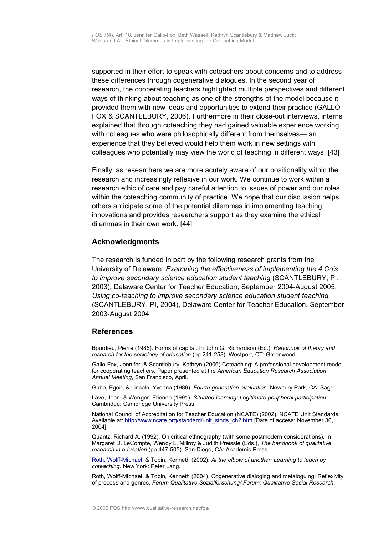supported in their effort to speak with coteachers about concerns and to address these differences through cogenerative dialogues. In the second year of research, the cooperating teachers highlighted multiple perspectives and different ways of thinking about teaching as one of the strengths of the model because it provided them with new ideas and opportunities to extend their practice (GALLO-FOX & SCANTLEBURY, 2006). Furthermore in their close-out interviews, interns explained that through coteaching they had gained valuable experience working with colleagues who were philosophically different from themselves— an experience that they believed would help them work in new settings with colleagues who potentially may view the world of teaching in different ways. [43]

Finally, as researchers we are more acutely aware of our positionality within the research and increasingly reflexive in our work. We continue to work within a research ethic of care and pay careful attention to issues of power and our roles within the coteaching community of practice. We hope that our discussion helps others anticipate some of the potential dilemmas in implementing teaching innovations and provides researchers support as they examine the ethical dilemmas in their own work. [44]

### <span id="page-12-1"></span>**Acknowledgments**

The research is funded in part by the following research grants from the University of Delaware: *Examining the effectiveness of implementing the 4 Co's to improve secondary science education student teaching* (SCANTLEBURY, PI, 2003), Delaware Center for Teacher Education, September 2004-August 2005; *Using co-teaching to improve secondary science education student teaching* (SCANTLEBURY, PI, 2004), Delaware Center for Teacher Education, September 2003-August 2004.

#### <span id="page-12-0"></span>**References**

Bourdieu, Pierre (1986). Forms of capital. In John G. Richardson (Ed.), *Handbook of theory and research for the sociology of education* (pp.241-258). Westport, CT: Greenwood.

Gallo-Fox, Jennifer, & Scantlebury, Kathryn (2006) Coteaching: A professional development model for cooperating teachers. Paper presented at the *American Education Research Association Annual Meeting*, San Francisco, April.

Guba, Egon, & Lincoln, Yvonna (1989). *Fourth generation evaluation*. Newbury Park, CA: Sage.

Lave, Jean, & Wenger, Etienne (1991). *Situated learning: Legitimate peripheral participation*. Cambridge: Cambridge University Press.

National Council of Accreditation for Teacher Education (NCATE) (2002). NCATE Unit Standards. Available at: [http://www.ncate.org/standard/unit\\_stnds\\_ch2.htm](http://www.ncate.org/standard/unit_stnds_ch2.htm) [Date of access: November 30, 2004].

Quantz, Richard A. (1992). On critical ethnography (with some postmodern considerations). In Margaret D. LeCompte, Wendy L. Millroy & Judith Preissle (Eds.), *The handbook of qualitative research in education* (pp.447-505). San Diego, CA: Academic Press.

[Roth, Wolff-Michael,](http://www.qualitative-research.net/fqs/impressum/roth-e.htm) & Tobin, Kenneth (2002). *At the elbow of another: Learning to teach by coteaching*. New York: Peter Lang.

Roth, Wolff-Michael, & Tobin, Kenneth (2004). Cogenerative dialoging and metaloguing: Reflexivity of process and genres. *Forum Qualitative Sozialforschung/ Forum: Qualitative Social Research*,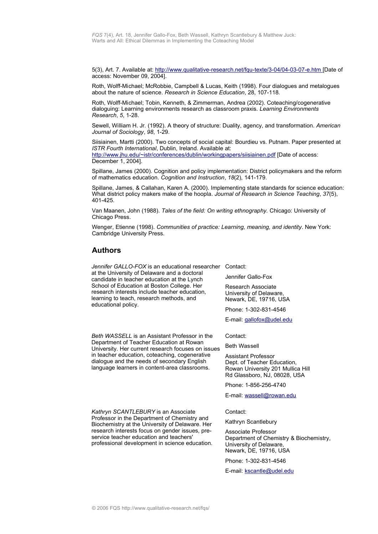5(3), Art. 7. Available at:<http://www.qualitative-research.net/fqu-texte/3-04/04-03-07-e.htm>[Date of access: November 09, 2004].

Roth, Wolff-Michael; McRobbie, Campbell & Lucas, Keith (1998). Four dialogues and metalogues about the nature of science. *Research in Science Education*, 28, 107-118.

Roth, Wolff-Michael; Tobin, Kenneth, & Zimmerman, Andrea (2002). Coteaching/cogenerative dialoguing: Learning environments research as classroom praxis. *Learning Environments Research*, *5*, 1-28.

Sewell, William H. Jr. (1992). A theory of structure: Duality, agency, and transformation. *American Journal of Sociology*, *98*, 1-29.

Siisiainen, Martti (2000). Two concepts of social capital: Bourdieu vs. Putnam. Paper presented at *ISTR Fourth International*, Dublin, Ireland. Available at: <http://www.jhu.edu/~istr/conferences/dublin/workingpapers/siisiainen.pdf>[Date of access: December 1, 2004].

Spillane, James (2000). Cognition and policy implementation: District policymakers and the reform of mathematics education. *Cognition and Instruction*, *18*(2), 141-179.

Spillane, James, & Callahan, Karen A. (2000). Implementing state standards for science education: What district policy makers make of the hoopla. *Journal of Research in Science Teaching*, *37*(5), 401-425.

Van Maanen, John (1988). *Tales of the field: On writing ethnography.* Chicago: University of Chicago Press.

Wenger, Etienne (1998). *Communities of practice: Learning, meaning, and identity*. New York: Cambridge University Press.

# <span id="page-13-0"></span>**Authors**

*Jennifer GALLO-FOX* is an educational researcher Contact: at the University of Delaware and a doctoral candidate in teacher education at the Lynch School of Education at Boston College. Her research interests include teacher education, learning to teach, research methods, and educational policy.

*Beth WASSELL* is an Assistant Professor in the Department of Teacher Education at Rowan University. Her current research focuses on issues in teacher education, coteaching, cogenerative dialogue and the needs of secondary English language learners in content-area classrooms.

*Kathryn SCANTLEBURY* is an Associate Professor in the Department of Chemistry and Biochemistry at the University of Delaware. Her research interests focus on gender issues, preservice teacher education and teachers' professional development in science education.

Jennifer Gallo-Fox

Research Associate University of Delaware, Newark, DE, 19716, USA

Phone: 1-302-831-4546

E-mail: [gallofox@udel.edu](mailto:gallofox@udel.edu)

Contact:

Beth Wassell

Assistant Professor Dept. of Teacher Education, Rowan University 201 Mullica Hill Rd Glassboro, NJ, 08028, USA

Phone: 1-856-256-4740

E-mail: [wassell@rowan.edu](mailto:wassell@rowan.edu)

Contact:

Kathryn Scantlebury

Associate Professor Department of Chemistry & Biochemistry, University of Delaware, Newark, DE, 19716, USA

Phone: 1-302-831-4546

E-mail: [kscantle@udel.edu](mailto:kscantle@udel.edu)